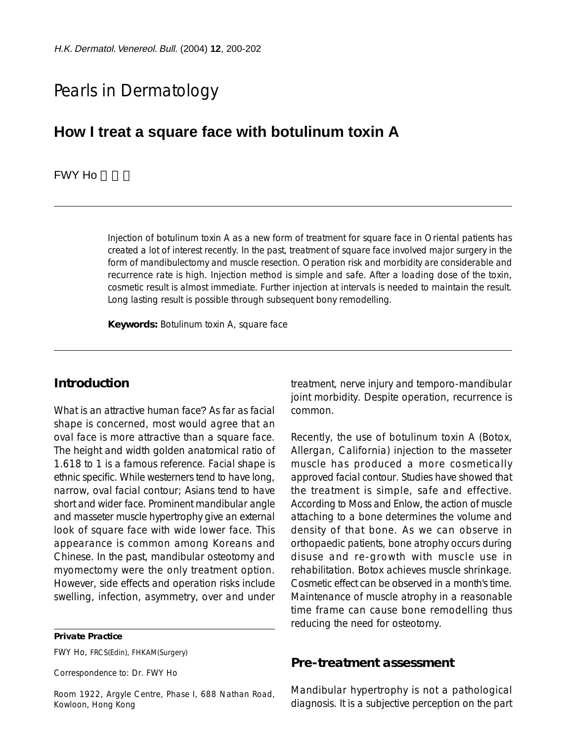# Pearls in Dermatology

## **How I treat a square face with botulinum toxin A**

#### FWY Ho

Injection of botulinum toxin A as a new form of treatment for square face in Oriental patients has created a lot of interest recently. In the past, treatment of square face involved major surgery in the form of mandibulectomy and muscle resection. Operation risk and morbidity are considerable and recurrence rate is high. Injection method is simple and safe. After a loading dose of the toxin, cosmetic result is almost immediate. Further injection at intervals is needed to maintain the result. Long lasting result is possible through subsequent bony remodelling.

**Keywords:** Botulinum toxin A, square face

## **Introduction**

What is an attractive human face? As far as facial shape is concerned, most would agree that an oval face is more attractive than a square face. The height and width golden anatomical ratio of 1.618 to 1 is a famous reference. Facial shape is ethnic specific. While westerners tend to have long, narrow, oval facial contour; Asians tend to have short and wider face. Prominent mandibular angle and masseter muscle hypertrophy give an external look of square face with wide lower face. This appearance is common among Koreans and Chinese. In the past, mandibular osteotomy and myomectomy were the only treatment option. However, side effects and operation risks include swelling, infection, asymmetry, over and under

**Private Practice**

FWY Ho, FRCS(Edin), FHKAM(Surgery)

Correspondence to: Dr. FWY Ho

Room 1922, Argyle Centre, Phase I, 688 Nathan Road, Kowloon, Hong Kong

treatment, nerve injury and temporo-mandibular joint morbidity. Despite operation, recurrence is common.

Recently, the use of botulinum toxin A (Botox, Allergan, California) injection to the masseter muscle has produced a more cosmetically approved facial contour. Studies have showed that the treatment is simple, safe and effective. According to Moss and Enlow, the action of muscle attaching to a bone determines the volume and density of that bone. As we can observe in orthopaedic patients, bone atrophy occurs during disuse and re-growth with muscle use in rehabilitation. Botox achieves muscle shrinkage. Cosmetic effect can be observed in a month's time. Maintenance of muscle atrophy in a reasonable time frame can cause bone remodelling thus reducing the need for osteotomy.

#### **Pre-treatment assessment**

Mandibular hypertrophy is not a pathological diagnosis. It is a subjective perception on the part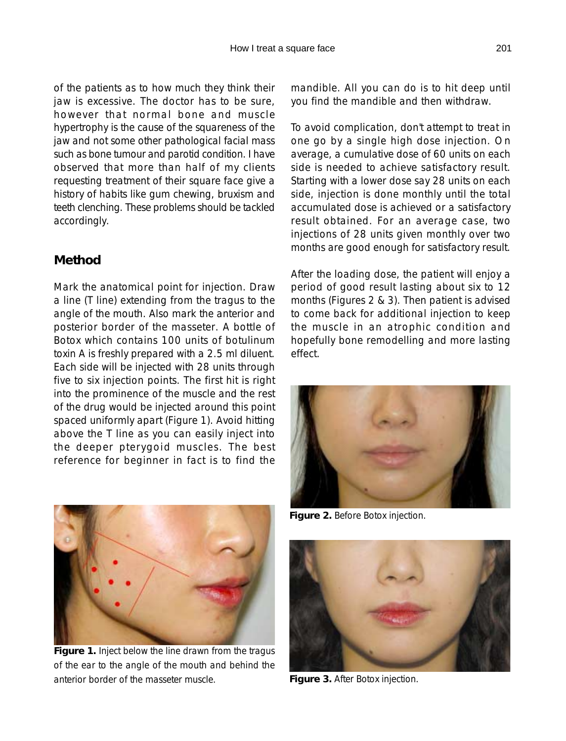of the patients as to how much they think their jaw is excessive. The doctor has to be sure, however that normal bone and muscle hypertrophy is the cause of the squareness of the jaw and not some other pathological facial mass such as bone tumour and parotid condition. I have observed that more than half of my clients requesting treatment of their square face give a history of habits like gum chewing, bruxism and teeth clenching. These problems should be tackled accordingly.

## **Method**

Mark the anatomical point for injection. Draw a line (T line) extending from the tragus to the angle of the mouth. Also mark the anterior and posterior border of the masseter. A bottle of Botox which contains 100 units of botulinum toxin A is freshly prepared with a 2.5 ml diluent. Each side will be injected with 28 units through five to six injection points. The first hit is right into the prominence of the muscle and the rest of the drug would be injected around this point spaced uniformly apart (Figure 1). Avoid hitting above the T line as you can easily inject into the deeper pterygoid muscles. The best reference for beginner in fact is to find the mandible. All you can do is to hit deep until you find the mandible and then withdraw.

To avoid complication, don't attempt to treat in one go by a single high dose injection. On average, a cumulative dose of 60 units on each side is needed to achieve satisfactory result. Starting with a lower dose say 28 units on each side, injection is done monthly until the total accumulated dose is achieved or a satisfactory result obtained. For an average case, two injections of 28 units given monthly over two months are good enough for satisfactory result.

After the loading dose, the patient will enjoy a period of good result lasting about six to 12 months (Figures 2 & 3). Then patient is advised to come back for additional injection to keep the muscle in an atrophic condition and hopefully bone remodelling and more lasting effect.



**Figure 2.** Before Botox injection.



**Figure 1.** Inject below the line drawn from the tragus of the ear to the angle of the mouth and behind the anterior border of the masseter muscle.



**Figure 3.** After Botox injection.